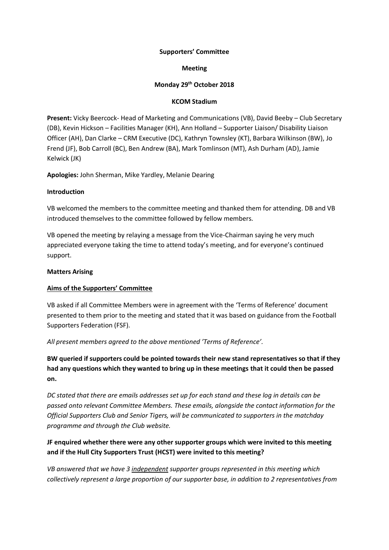#### **Supporters' Committee**

#### **Meeting**

#### **Monday 29th October 2018**

#### **KCOM Stadium**

**Present:** Vicky Beercock- Head of Marketing and Communications (VB), David Beeby – Club Secretary (DB), Kevin Hickson – Facilities Manager (KH), Ann Holland – Supporter Liaison/ Disability Liaison Officer (AH), Dan Clarke – CRM Executive (DC), Kathryn Townsley (KT), Barbara Wilkinson (BW), Jo Frend (JF), Bob Carroll (BC), Ben Andrew (BA), Mark Tomlinson (MT), Ash Durham (AD), Jamie Kelwick (JK)

**Apologies:** John Sherman, Mike Yardley, Melanie Dearing

#### **Introduction**

VB welcomed the members to the committee meeting and thanked them for attending. DB and VB introduced themselves to the committee followed by fellow members.

VB opened the meeting by relaying a message from the Vice-Chairman saying he very much appreciated everyone taking the time to attend today's meeting, and for everyone's continued support.

#### **Matters Arising**

## **Aims of the Supporters' Committee**

VB asked if all Committee Members were in agreement with the 'Terms of Reference' document presented to them prior to the meeting and stated that it was based on guidance from the Football Supporters Federation (FSF).

*All present members agreed to the above mentioned 'Terms of Reference'.* 

**BW queried if supporters could be pointed towards their new stand representatives so that if they had any questions which they wanted to bring up in these meetings that it could then be passed on.**

*DC stated that there are emails addresses set up for each stand and these log in details can be passed onto relevant Committee Members. These emails, alongside the contact information for the Official Supporters Club and Senior Tigers, will be communicated to supporters in the matchday programme and through the Club website.* 

# **JF enquired whether there were any other supporter groups which were invited to this meeting and if the Hull City Supporters Trust (HCST) were invited to this meeting?**

*VB answered that we have 3 independent supporter groups represented in this meeting which collectively represent a large proportion of our supporter base, in addition to 2 representatives from*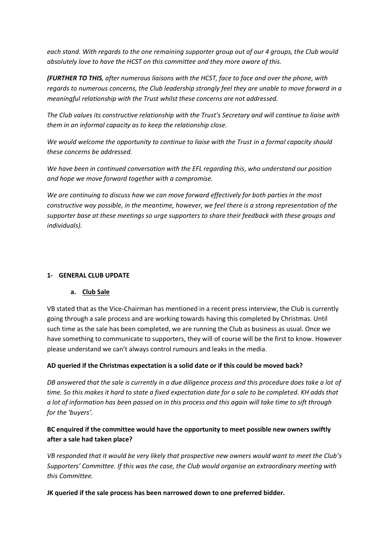*each stand. With regards to the one remaining supporter group out of our 4 groups, the Club would absolutely love to have the HCST on this committee and they more aware of this.* 

*(FURTHER TO THIS, after numerous liaisons with the HCST, face to face and over the phone, with regards to numerous concerns, the Club leadership strongly feel they are unable to move forward in a meaningful relationship with the Trust whilst these concerns are not addressed.* 

*The Club values its constructive relationship with the Trust's Secretary and will continue to liaise with them in an informal capacity as to keep the relationship close.*

*We would welcome the opportunity to continue to liaise with the Trust in a formal capacity should these concerns be addressed.*

*We have been in continued conversation with the EFL regarding this, who understand our position and hope we move forward together with a compromise.* 

*We are continuing to discuss how we can move forward effectively for both parties in the most constructive way possible, in the meantime, however, we feel there is a strong representation of the supporter base at these meetings so urge supporters to share their feedback with these groups and individuals).*

## **1- GENERAL CLUB UPDATE**

## **a. Club Sale**

VB stated that as the Vice-Chairman has mentioned in a recent press interview, the Club is currently going through a sale process and are working towards having this completed by Christmas. Until such time as the sale has been completed, we are running the Club as business as usual. Once we have something to communicate to supporters, they will of course will be the first to know. However please understand we can't always control rumours and leaks in the media.

## **AD queried if the Christmas expectation is a solid date or if this could be moved back?**

*DB answered that the sale is currently in a due diligence process and this procedure does take a lot of time. So this makes it hard to state a fixed expectation date for a sale to be completed. KH adds that a lot of information has been passed on in this process and this again will take time to sift through for the 'buyers'.*

# **BC enquired if the committee would have the opportunity to meet possible new owners swiftly after a sale had taken place?**

*VB responded that it would be very likely that prospective new owners would want to meet the Club's Supporters' Committee. If this was the case, the Club would organise an extraordinary meeting with this Committee.*

**JK queried if the sale process has been narrowed down to one preferred bidder.**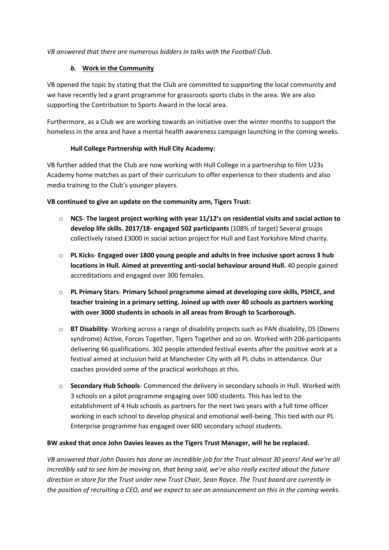*VB answered that there are numerous bidders in talks with the Football Club.*

# *b.* **Work in the Community**

VB opened the topic by stating that the Club are committed to supporting the local community and we have recently led a grant programme for grassroots sports clubs in the area. We are also supporting the Contribution to Sports Award in the local area.

Furthermore, as a Club we are working towards an initiative over the winter months to support the homeless in the area and have a mental health awareness campaign launching in the coming weeks.

# **Hull College Partnership with Hull City Academy:**

VB further added that the Club are now working with Hull College in a partnership to film U23s Academy home matches as part of their curriculum to offer experience to their students and also media training to the Club's younger players.

## **VB continued to give an update on the community arm, Tigers Trust:**

- o **NCS The largest project working with year 11/12's on residential visits and social action to develop life skills. 2017/18- engaged 502 participants** (108% of target) Several groups collectively raised £3000 in social action project for Hull and East Yorkshire Mind charity.
- o **PL Kicks Engaged over 1800 young people and adults in free inclusive sport across 3 hub locations in Hull. Aimed at preventing anti-social behaviour around Hull.** 40 people gained accreditations and engaged over 300 females.
- o **PL Primary Stars Primary School programme aimed at developing core skills, PSHCE, and teacher training in a primary setting. Joined up with over 40 schools as partners working with over 3000 students in schools in all areas from Brough to Scarborough.**
- o **BT Disability** Working across a range of disability projects such as PAN disability, DS (Downs syndrome) Active, Forces Together, Tigers Together and so on. Worked with 206 participants delivering 66 qualifications. 302 people attended festival events after the positive work at a festival aimed at inclusion held at Manchester City with all PL clubs in attendance. Our coaches provided some of the practical workshops at this.
- o **Secondary Hub Schools** Commenced the delivery in secondary schools in Hull. Worked with 3 schools on a pilot programme engaging over 500 students. This has led to the establishment of 4 Hub schools as partners for the next two years with a full time officer working in each school to develop physical and emotional well-being. This tied with our PL Enterprise programme has engaged over 600 secondary school students.

# **BW asked that once John Davies leaves as the Tigers Trust Manager, will he be replaced.**

*VB answered that John Davies has done an incredible job for the Trust almost 30 years! And we're all incredibly sad to see him be moving on, that being said, we're also really excited about the future direction in store for the Trust under new Trust Chair, Sean Royce. The Trust board are currently in the position of recruiting a CEO, and we expect to see an announcement on this in the coming weeks.*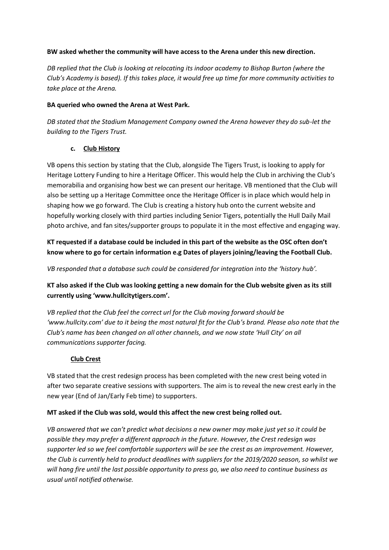## **BW asked whether the community will have access to the Arena under this new direction.**

*DB replied that the Club is looking at relocating its indoor academy to Bishop Burton (where the Club's Academy is based). If this takes place, it would free up time for more community activities to take place at the Arena.*

## **BA queried who owned the Arena at West Park.**

*DB stated that the Stadium Management Company owned the Arena however they do sub-let the building to the Tigers Trust.*

## **c. Club History**

VB opens this section by stating that the Club, alongside The Tigers Trust, is looking to apply for Heritage Lottery Funding to hire a Heritage Officer. This would help the Club in archiving the Club's memorabilia and organising how best we can present our heritage. VB mentioned that the Club will also be setting up a Heritage Committee once the Heritage Officer is in place which would help in shaping how we go forward. The Club is creating a history hub onto the current website and hopefully working closely with third parties including Senior Tigers, potentially the Hull Daily Mail photo archive, and fan sites/supporter groups to populate it in the most effective and engaging way.

# **KT requested if a database could be included in this part of the website as the OSC often don't know where to go for certain information e.g Dates of players joining/leaving the Football Club.**

*VB responded that a database such could be considered for integration into the 'history hub'.* 

# **KT also asked if the Club was looking getting a new domain for the Club website given as its still currently using 'www.hullcitytigers.com'.**

*VB replied that the Club feel the correct url for the Club moving forward should be 'www.hullcity.com' due to it being the most natural fit for the Club's brand. Please also note that the Club's name has been changed on all other channels, and we now state 'Hull City' on all communications supporter facing.* 

# **Club Crest**

VB stated that the crest redesign process has been completed with the new crest being voted in after two separate creative sessions with supporters. The aim is to reveal the new crest early in the new year (End of Jan/Early Feb time) to supporters.

# **MT asked if the Club was sold, would this affect the new crest being rolled out.**

*VB answered that we can't predict what decisions a new owner may make just yet so it could be possible they may prefer a different approach in the future. However, the Crest redesign was supporter led so we feel comfortable supporters will be see the crest as an improvement. However, the Club is currently held to product deadlines with suppliers for the 2019/2020 season, so whilst we will hang fire until the last possible opportunity to press go, we also need to continue business as usual until notified otherwise.*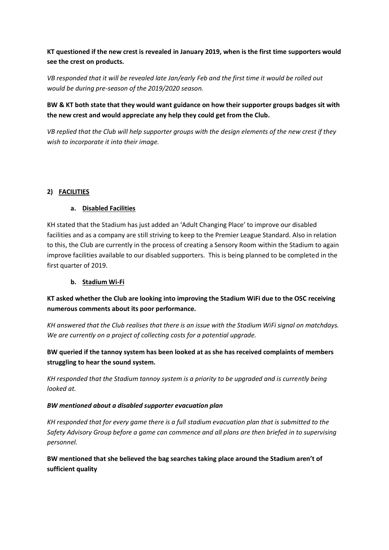**KT questioned if the new crest is revealed in January 2019, when is the first time supporters would see the crest on products.**

*VB responded that it will be revealed late Jan/early Feb and the first time it would be rolled out would be during pre-season of the 2019/2020 season.*

# **BW & KT both state that they would want guidance on how their supporter groups badges sit with the new crest and would appreciate any help they could get from the Club.**

*VB replied that the Club will help supporter groups with the design elements of the new crest if they wish to incorporate it into their image.*

# **2) FACILITIES**

## **a. Disabled Facilities**

KH stated that the Stadium has just added an 'Adult Changing Place' to improve our disabled facilities and as a company are still striving to keep to the Premier League Standard. Also in relation to this, the Club are currently in the process of creating a Sensory Room within the Stadium to again improve facilities available to our disabled supporters. This is being planned to be completed in the first quarter of 2019.

## **b. Stadium Wi-Fi**

**KT asked whether the Club are looking into improving the Stadium WiFi due to the OSC receiving numerous comments about its poor performance.**

*KH answered that the Club realises that there is an issue with the Stadium WiFi signal on matchdays. We are currently on a project of collecting costs for a potential upgrade.* 

**BW queried if the tannoy system has been looked at as she has received complaints of members struggling to hear the sound system.** 

*KH responded that the Stadium tannoy system is a priority to be upgraded and is currently being looked at.* 

## *BW mentioned about a disabled supporter evacuation plan*

*KH responded that for every game there is a full stadium evacuation plan that is submitted to the Safety Advisory Group before a game can commence and all plans are then briefed in to supervising personnel.*

**BW mentioned that she believed the bag searches taking place around the Stadium aren't of sufficient quality**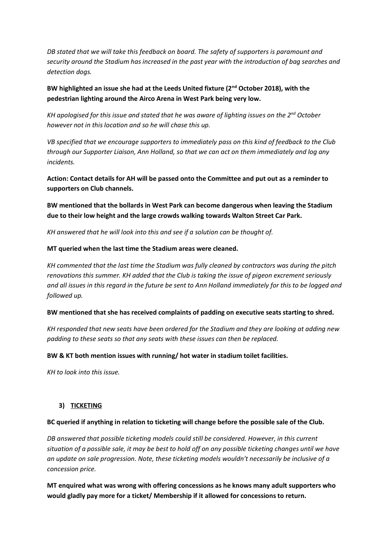*DB stated that we will take this feedback on board. The safety of supporters is paramount and security around the Stadium has increased in the past year with the introduction of bag searches and detection dogs.*

**BW highlighted an issue she had at the Leeds United fixture (2nd October 2018), with the pedestrian lighting around the Airco Arena in West Park being very low.**

*KH apologised for this issue and stated that he was aware of lighting issues on the 2nd October however not in this location and so he will chase this up.*

*VB specified that we encourage supporters to immediately pass on this kind of feedback to the Club through our Supporter Liaison, Ann Holland, so that we can act on them immediately and log any incidents.* 

**Action: Contact details for AH will be passed onto the Committee and put out as a reminder to supporters on Club channels.**

**BW mentioned that the bollards in West Park can become dangerous when leaving the Stadium due to their low height and the large crowds walking towards Walton Street Car Park.**

*KH answered that he will look into this and see if a solution can be thought of.*

#### **MT queried when the last time the Stadium areas were cleaned.**

*KH commented that the last time the Stadium was fully cleaned by contractors was during the pitch renovations this summer. KH added that the Club is taking the issue of pigeon excrement seriously and all issues in this regard in the future be sent to Ann Holland immediately for this to be logged and followed up.* 

#### **BW mentioned that she has received complaints of padding on executive seats starting to shred.**

*KH responded that new seats have been ordered for the Stadium and they are looking at adding new padding to these seats so that any seats with these issues can then be replaced.*

#### **BW & KT both mention issues with running/ hot water in stadium toilet facilities.**

*KH to look into this issue.*

## **3) TICKETING**

#### **BC queried if anything in relation to ticketing will change before the possible sale of the Club.**

*DB answered that possible ticketing models could still be considered. However, in this current situation of a possible sale, it may be best to hold off on any possible ticketing changes until we have an update on sale progression. Note, these ticketing models wouldn't necessarily be inclusive of a concession price.*

**MT enquired what was wrong with offering concessions as he knows many adult supporters who would gladly pay more for a ticket/ Membership if it allowed for concessions to return.**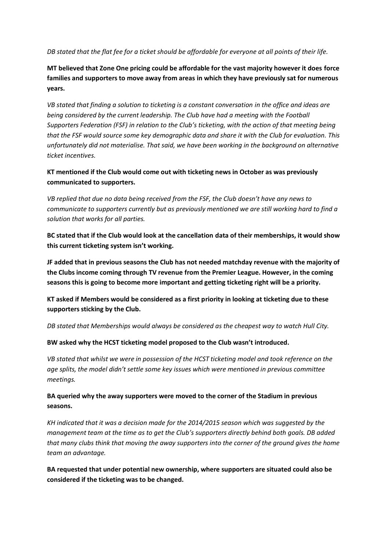*DB stated that the flat fee for a ticket should be affordable for everyone at all points of their life.* 

**MT believed that Zone One pricing could be affordable for the vast majority however it does force families and supporters to move away from areas in which they have previously sat for numerous years.**

*VB stated that finding a solution to ticketing is a constant conversation in the office and ideas are being considered by the current leadership. The Club have had a meeting with the Football Supporters Federation (FSF) in relation to the Club's ticketing, with the action of that meeting being that the FSF would source some key demographic data and share it with the Club for evaluation. This unfortunately did not materialise. That said, we have been working in the background on alternative ticket incentives.*

**KT mentioned if the Club would come out with ticketing news in October as was previously communicated to supporters.**

*VB replied that due no data being received from the FSF, the Club doesn't have any news to communicate to supporters currently but as previously mentioned we are still working hard to find a solution that works for all parties.*

**BC stated that if the Club would look at the cancellation data of their memberships, it would show this current ticketing system isn't working.**

**JF added that in previous seasons the Club has not needed matchday revenue with the majority of the Clubs income coming through TV revenue from the Premier League. However, in the coming seasons this is going to become more important and getting ticketing right will be a priority.** 

**KT asked if Members would be considered as a first priority in looking at ticketing due to these supporters sticking by the Club.** 

*DB stated that Memberships would always be considered as the cheapest way to watch Hull City.*

**BW asked why the HCST ticketing model proposed to the Club wasn't introduced.**

*VB stated that whilst we were in possession of the HCST ticketing model and took reference on the age splits, the model didn't settle some key issues which were mentioned in previous committee meetings.* 

**BA queried why the away supporters were moved to the corner of the Stadium in previous seasons.**

*KH indicated that it was a decision made for the 2014/2015 season which was suggested by the management team at the time as to get the Club's supporters directly behind both goals. DB added that many clubs think that moving the away supporters into the corner of the ground gives the home team an advantage.*

**BA requested that under potential new ownership, where supporters are situated could also be considered if the ticketing was to be changed.**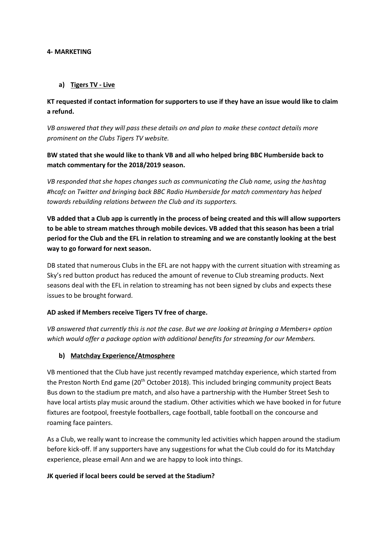#### **4- MARKETING**

#### **a) Tigers TV - Live**

# **KT requested if contact information for supporters to use if they have an issue would like to claim a refund.**

*VB answered that they will pass these details on and plan to make these contact details more prominent on the Clubs Tigers TV website.*

# **BW stated that she would like to thank VB and all who helped bring BBC Humberside back to match commentary for the 2018/2019 season.**

*VB responded that she hopes changes such as communicating the Club name, using the hashtag #hcafc on Twitter and bringing back BBC Radio Humberside for match commentary has helped towards rebuilding relations between the Club and its supporters.*

**VB added that a Club app is currently in the process of being created and this will allow supporters to be able to stream matches through mobile devices. VB added that this season has been a trial period for the Club and the EFL in relation to streaming and we are constantly looking at the best way to go forward for next season.**

DB stated that numerous Clubs in the EFL are not happy with the current situation with streaming as Sky's red button product has reduced the amount of revenue to Club streaming products. Next seasons deal with the EFL in relation to streaming has not been signed by clubs and expects these issues to be brought forward.

#### **AD asked if Members receive Tigers TV free of charge.**

*VB answered that currently this is not the case. But we are looking at bringing a Members+ option which would offer a package option with additional benefits for streaming for our Members.* 

## **b) Matchday Experience/Atmosphere**

VB mentioned that the Club have just recently revamped matchday experience, which started from the Preston North End game (20<sup>th</sup> October 2018). This included bringing community project Beats Bus down to the stadium pre match, and also have a partnership with the Humber Street Sesh to have local artists play music around the stadium. Other activities which we have booked in for future fixtures are footpool, freestyle footballers, cage football, table football on the concourse and roaming face painters.

As a Club, we really want to increase the community led activities which happen around the stadium before kick-off. If any supporters have any suggestions for what the Club could do for its Matchday experience, please email Ann and we are happy to look into things.

#### **JK queried if local beers could be served at the Stadium?**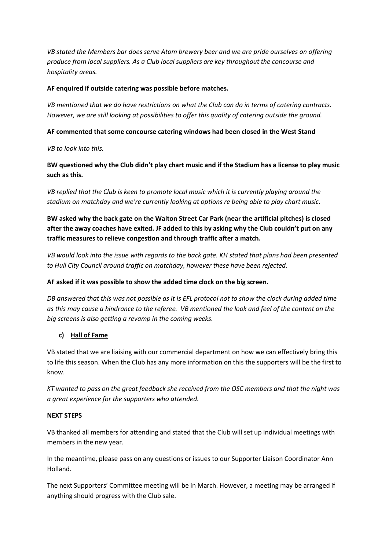*VB stated the Members bar does serve Atom brewery beer and we are pride ourselves on offering produce from local suppliers. As a Club local suppliers are key throughout the concourse and hospitality areas.* 

## **AF enquired if outside catering was possible before matches.**

*VB mentioned that we do have restrictions on what the Club can do in terms of catering contracts. However, we are still looking at possibilities to offer this quality of catering outside the ground.* 

## **AF commented that some concourse catering windows had been closed in the West Stand**

*VB to look into this.*

**BW questioned why the Club didn't play chart music and if the Stadium has a license to play music such as this.**

*VB replied that the Club is keen to promote local music which it is currently playing around the stadium on matchday and we're currently looking at options re being able to play chart music.*

**BW asked why the back gate on the Walton Street Car Park (near the artificial pitches) is closed after the away coaches have exited. JF added to this by asking why the Club couldn't put on any traffic measures to relieve congestion and through traffic after a match.** 

*VB would look into the issue with regards to the back gate. KH stated that plans had been presented to Hull City Council around traffic on matchday, however these have been rejected.* 

## **AF asked if it was possible to show the added time clock on the big screen.**

*DB answered that this was not possible as it is EFL protocol not to show the clock during added time as this may cause a hindrance to the referee. VB mentioned the look and feel of the content on the big screens is also getting a revamp in the coming weeks.*

# **c) Hall of Fame**

VB stated that we are liaising with our commercial department on how we can effectively bring this to life this season. When the Club has any more information on this the supporters will be the first to know.

*KT wanted to pass on the great feedback she received from the OSC members and that the night was a great experience for the supporters who attended.* 

## **NEXT STEPS**

VB thanked all members for attending and stated that the Club will set up individual meetings with members in the new year.

In the meantime, please pass on any questions or issues to our Supporter Liaison Coordinator Ann Holland.

The next Supporters' Committee meeting will be in March. However, a meeting may be arranged if anything should progress with the Club sale.